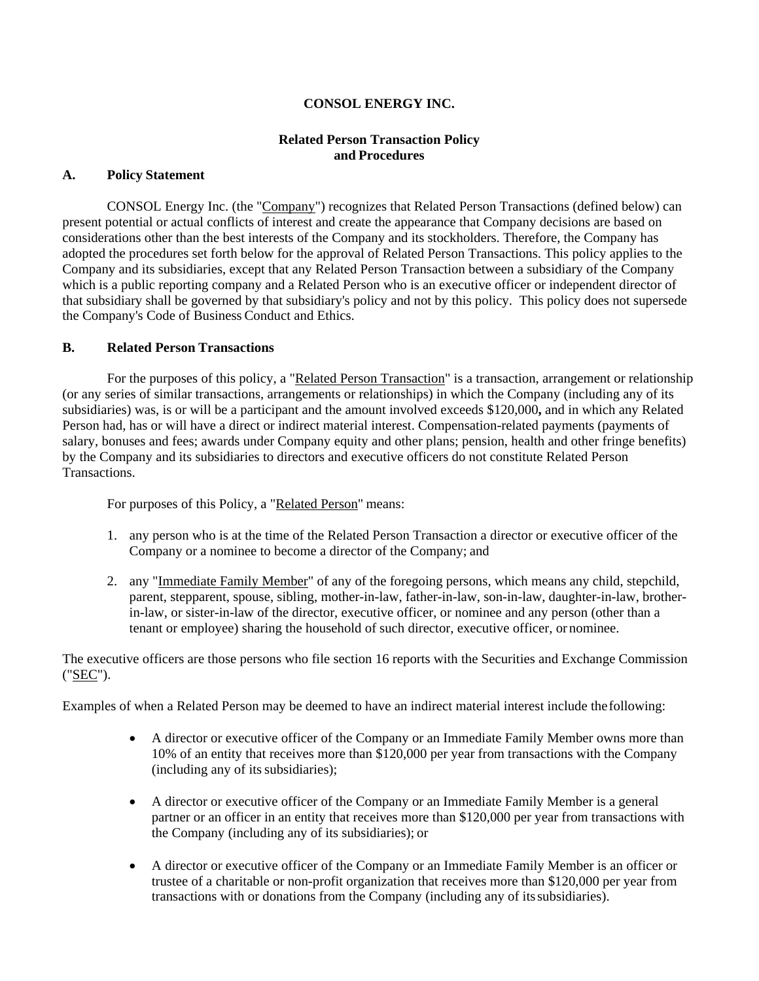# **CONSOL ENERGY INC.**

# **Related Person Transaction Policy and Procedures**

### **A. Policy Statement**

CONSOL Energy Inc. (the "Company") recognizes that Related Person Transactions (defined below) can present potential or actual conflicts of interest and create the appearance that Company decisions are based on considerations other than the best interests of the Company and its stockholders. Therefore, the Company has adopted the procedures set forth below for the approval of Related Person Transactions. This policy applies to the Company and its subsidiaries, except that any Related Person Transaction between a subsidiary of the Company which is a public reporting company and a Related Person who is an executive officer or independent director of that subsidiary shall be governed by that subsidiary's policy and not by this policy. This policy does not supersede the Company's Code of Business Conduct and Ethics.

# **B. Related Person Transactions**

For the purposes of this policy, a "Related Person Transaction" is a transaction, arrangement or relationship (or any series of similar transactions, arrangements or relationships) in which the Company (including any of its subsidiaries) was, is or will be a participant and the amount involved exceeds \$120,000**,** and in which any Related Person had, has or will have a direct or indirect material interest. Compensation-related payments (payments of salary, bonuses and fees; awards under Company equity and other plans; pension, health and other fringe benefits) by the Company and its subsidiaries to directors and executive officers do not constitute Related Person Transactions.

For purposes of this Policy, a "Related Person" means:

- 1. any person who is at the time of the Related Person Transaction a director or executive officer of the Company or a nominee to become a director of the Company; and
- 2. any "Immediate Family Member" of any of the foregoing persons, which means any child, stepchild, parent, stepparent, spouse, sibling, mother-in-law, father-in-law, son-in-law, daughter-in-law, brotherin-law, or sister-in-law of the director, executive officer, or nominee and any person (other than a tenant or employee) sharing the household of such director, executive officer, or nominee.

The executive officers are those persons who file section 16 reports with the Securities and Exchange Commission ("SEC").

Examples of when a Related Person may be deemed to have an indirect material interest include the following:

- A director or executive officer of the Company or an Immediate Family Member owns more than 10% of an entity that receives more than \$120,000 per year from transactions with the Company (including any of its subsidiaries);
- A director or executive officer of the Company or an Immediate Family Member is a general partner or an officer in an entity that receives more than \$120,000 per year from transactions with the Company (including any of its subsidiaries); or
- A director or executive officer of the Company or an Immediate Family Member is an officer or trustee of a charitable or non-profit organization that receives more than \$120,000 per year from transactions with or donations from the Company (including any of its subsidiaries).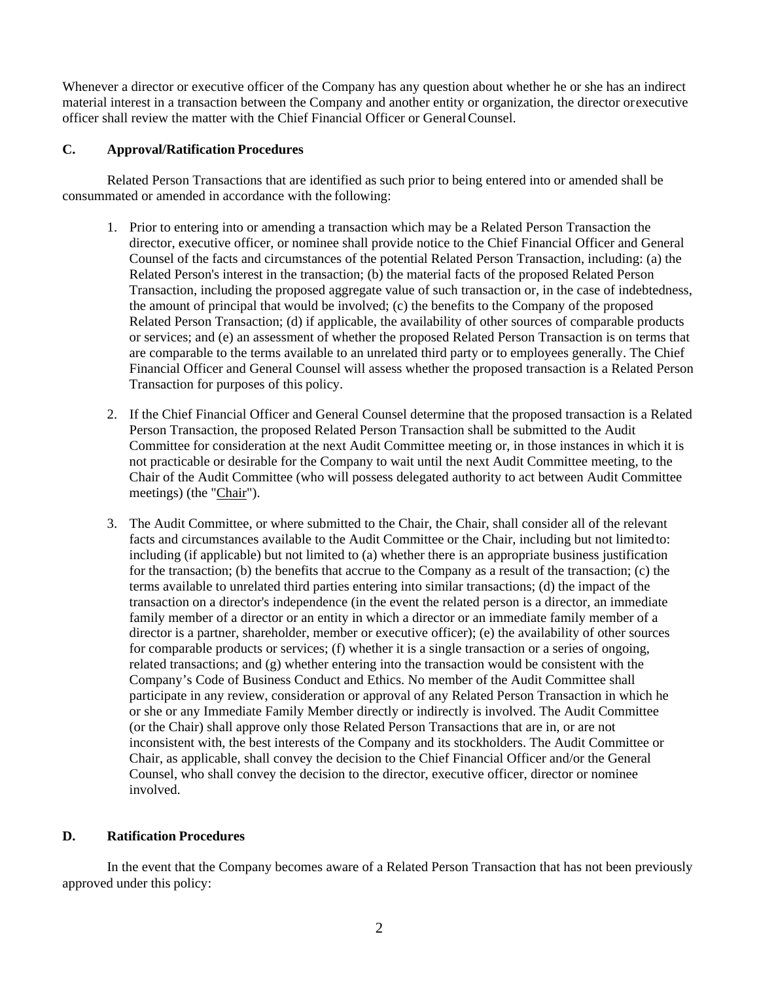Whenever a director or executive officer of the Company has any question about whether he or she has an indirect material interest in a transaction between the Company and another entity or organization, the director or executive officer shall review the matter with the Chief Financial Officer or General Counsel.

# **C. Approval/Ratification Procedures**

Related Person Transactions that are identified as such prior to being entered into or amended shall be consummated or amended in accordance with the following:

- 1. Prior to entering into or amending a transaction which may be a Related Person Transaction the director, executive officer, or nominee shall provide notice to the Chief Financial Officer and General Counsel of the facts and circumstances of the potential Related Person Transaction, including: (a) the Related Person's interest in the transaction; (b) the material facts of the proposed Related Person Transaction, including the proposed aggregate value of such transaction or, in the case of indebtedness, the amount of principal that would be involved; (c) the benefits to the Company of the proposed Related Person Transaction; (d) if applicable, the availability of other sources of comparable products or services; and (e) an assessment of whether the proposed Related Person Transaction is on terms that are comparable to the terms available to an unrelated third party or to employees generally. The Chief Financial Officer and General Counsel will assess whether the proposed transaction is a Related Person Transaction for purposes of this policy.
- 2. If the Chief Financial Officer and General Counsel determine that the proposed transaction is a Related Person Transaction, the proposed Related Person Transaction shall be submitted to the Audit Committee for consideration at the next Audit Committee meeting or, in those instances in which it is not practicable or desirable for the Company to wait until the next Audit Committee meeting, to the Chair of the Audit Committee (who will possess delegated authority to act between Audit Committee meetings) (the "Chair").
- 3. The Audit Committee, or where submitted to the Chair, the Chair, shall consider all of the relevant facts and circumstances available to the Audit Committee or the Chair, including but not limited to: including (if applicable) but not limited to (a) whether there is an appropriate business justification for the transaction; (b) the benefits that accrue to the Company as a result of the transaction; (c) the terms available to unrelated third parties entering into similar transactions; (d) the impact of the transaction on a director's independence (in the event the related person is a director, an immediate family member of a director or an entity in which a director or an immediate family member of a director is a partner, shareholder, member or executive officer); (e) the availability of other sources for comparable products or services; (f) whether it is a single transaction or a series of ongoing, related transactions; and (g) whether entering into the transaction would be consistent with the Company's Code of Business Conduct and Ethics. No member of the Audit Committee shall participate in any review, consideration or approval of any Related Person Transaction in which he or she or any Immediate Family Member directly or indirectly is involved. The Audit Committee (or the Chair) shall approve only those Related Person Transactions that are in, or are not inconsistent with, the best interests of the Company and its stockholders. The Audit Committee or Chair, as applicable, shall convey the decision to the Chief Financial Officer and/or the General Counsel, who shall convey the decision to the director, executive officer, director or nominee involved.

# **D. Ratification Procedures**

In the event that the Company becomes aware of a Related Person Transaction that has not been previously approved under this policy: